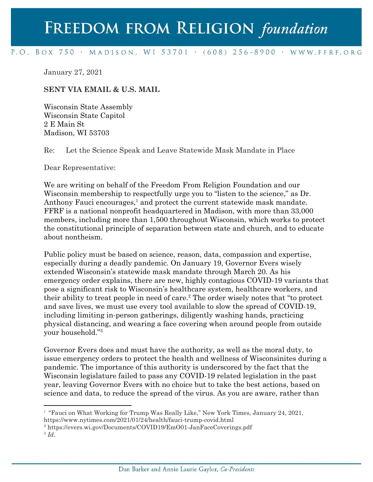## FREEDOM FROM RELIGION foundation

## P.O. BOX 750 · MADISON, WI 53701 · (608) 256-8900 · WWW.FFRF.ORG

January 27, 2021

## **SENT VIA EMAIL & U.S. MAIL**

Wisconsin State Assembly Wisconsin State Capitol 2 E Main St Madison, WI 53703

Re: Let the Science Speak and Leave Statewide Mask Mandate in Place

Dear Representative:

We are writing on behalf of the Freedom From Religion Foundation and our Wisconsin membership to respectfully urge you to "listen to the science," as Dr. Anthony Fauci encourages, $<sup>1</sup>$  and protect the current statewide mask mandate.</sup> FFRF is a national nonprofit headquartered in Madison, with more than 33,000 members, including more than 1,500 throughout Wisconsin, which works to protect the constitutional principle of separation between state and church, and to educate about nontheism.

Public policy must be based on science, reason, data, compassion and expertise, especially during a deadly pandemic. On January 19, Governor Evers wisely extended Wisconsin's statewide mask mandate through March 20. As his emergency order explains, there are new, highly contagious COVID-19 variants that pose a significant risk to Wisconsin's healthcare system, healthcare workers, and their ability to treat people in need of care.<sup>2</sup> The order wisely notes that "to protect" and save lives, we must use every tool available to slow the spread of COVID-19, including limiting in-person gatherings, diligently washing hands, practicing physical distancing, and wearing a face covering when around people from outside your household."<sup>3</sup>

Governor Evers does and must have the authority, as well as the moral duty, to issue emergency orders to protect the health and wellness of Wisconsinites during a pandemic. The importance of this authority is underscored by the fact that the Wisconsin legislature failed to pass any COVID-19 related legislation in the past year, leaving Governor Evers with no choice but to take the best actions, based on science and data, to reduce the spread of the virus. As you are aware, rather than

<sup>1</sup> "Fauci on What Working for Trump Was Really Like," New York Times, January 24, 2021, https://www.nytimes.com/2021/01/24/health/fauci-trump-covid.html

<sup>2</sup> https://evers.wi.gov/Documents/COVID19/EmO01-JanFaceCoverings.pdf

<sup>3</sup> *Id*.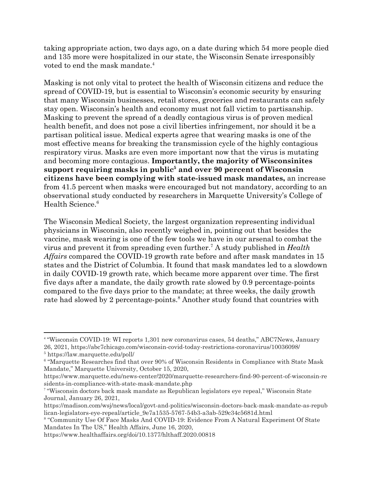taking appropriate action, two days ago, on a date during which 54 more people died and 135 more were hospitalized in our state, the Wisconsin Senate irresponsibly voted to end the mask mandate.<sup>4</sup>

Masking is not only vital to protect the health of Wisconsin citizens and reduce the spread of COVID-19, but is essential to Wisconsin's economic security by ensuring that many Wisconsin businesses, retail stores, groceries and restaurants can safely stay open. Wisconsin's health and economy must not fall victim to partisanship. Masking to prevent the spread of a deadly contagious virus is of proven medical health benefit, and does not pose a civil liberties infringement, nor should it be a partisan political issue. Medical experts agree that wearing masks is one of the most effective means for breaking the transmission cycle of the highly contagious respiratory virus. Masks are even more important now that the virus is mutating and becoming more contagious. **Importantly, the majority of Wisconsinites support requiring masks in public<sup>5</sup> and over 90 percent of Wisconsin citizens have been complying with state-issued mask mandates,** an increase from 41.5 percent when masks were encouraged but not mandatory, according to an observational study conducted by researchers in Marquette University's College of Health Science.<sup>6</sup>

The Wisconsin Medical Society, the largest organization representing individual physicians in Wisconsin, also recently weighed in, pointing out that besides the vaccine, mask wearing is one of the few tools we have in our arsenal to combat the virus and prevent it from spreading even further.<sup>7</sup> A study published in *Health Affairs* compared the COVID-19 growth rate before and after mask mandates in 15 states and the District of Columbia. It found that mask mandates led to a slowdown in daily COVID-19 growth rate, which became more apparent over time. The first five days after a mandate, the daily growth rate slowed by 0.9 percentage-points compared to the five days prior to the mandate; at three weeks, the daily growth rate had slowed by 2 percentage-points.<sup>8</sup> Another study found that countries with

<sup>4</sup> "Wisconsin COVID-19: WI reports 1,301 new coronavirus cases, 54 deaths," ABC7News, January 26, 2021, https://abc7chicago.com/wisconsin-covid-today-restrictions-coronavirus/10036098/ <sup>5</sup> https://law.marquette.edu/poll/

<sup>6</sup> "Marquette Researches find that over 90% of Wisconsin Residents in Compliance with State Mask Mandate," Marquette University, October 15, 2020,

https://www.marquette.edu/news-center/2020/marquette-researchers-find-90-percent-of-wisconsin-re sidents-in-compliance-with-state-mask-mandate.php

<sup>7</sup> "Wisconsin doctors back mask mandate as Republican legislators eye repeal," Wisconsin State Journal, January 26, 2021,

https://madison.com/wsj/news/local/govt-and-politics/wisconsin-doctors-back-mask-mandate-as-repub lican-legislators-eye-repeal/article\_9e7a1535-5767-54b3-a3ab-529c34c5681d.html

<sup>8</sup> "Community Use Of Face Masks And COVID-19: Evidence From A Natural Experiment Of State Mandates In The US," Health Affairs, June 16, 2020,

https://www.healthaffairs.org/doi/10.1377/hlthaff.2020.00818